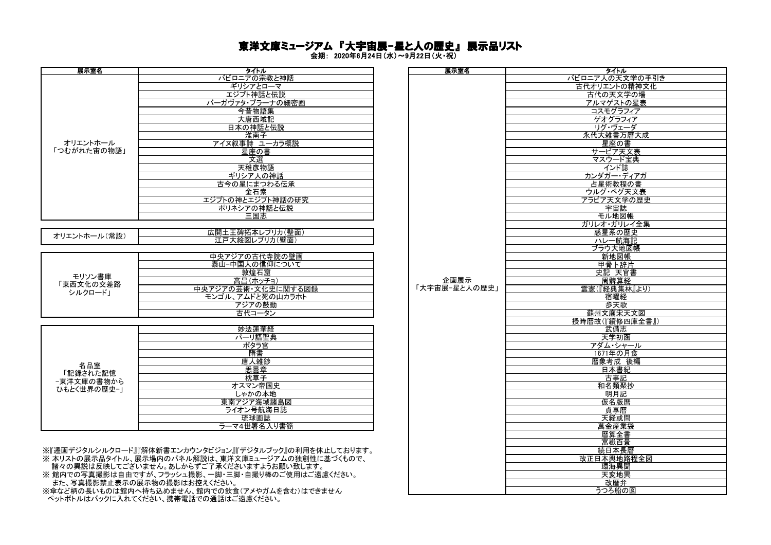## 東洋文庫ミュージアム 『大宇宙展-星と人の歴史』 展示品リスト

会期: 2020年6月24日(水)~9月22日(火・祝)

|              | バビロニアの宗教と神話<br>ギリシアとローマ |               | バビロニア人の天」    |
|--------------|-------------------------|---------------|--------------|
|              |                         |               |              |
|              |                         |               | 古代オリエントの     |
|              | エジプト神話と伝説               |               | 古代の天文        |
|              | バーガヴァタ・プラーナの細密画         |               | アルマゲスト       |
|              | 今昔物語集                   |               | コスモグラフ       |
|              | 大唐西域記                   |               | ゲオグラフ        |
|              | 日本の神話と伝説                |               | リグ・ヴェー       |
|              | 淮南子                     |               | 永代大雑書万       |
| オリエントホール     | アイヌ叙事詩 ユーカラ概説           |               | 星座の          |
| 「つむがれた宙の物語」  | 星座の書                    |               | サービア天        |
|              | 文選                      |               | マスウード        |
|              | 天稚彦物語                   |               | インド誌         |
|              | ギリシア人の神話                |               | カンダガー・ラ      |
|              | 古今の星にまつわる伝承             |               | 占星術教程        |
|              | 金石索                     |               | ウルグ・ベグ       |
|              | エジプトの神とエジプト神話の研究        |               | アラビア天文学      |
|              | ポリネシアの神話と伝説             |               | 宇宙誌          |
|              | 三国志                     |               | モル地図         |
|              |                         |               | ガリレオ・ガリレ     |
|              | 広開土王碑拓本レプリカ(壁面)         |               | 惑星系の         |
| オリエントホール(常設) | 江戸大絵図レプリカ(壁面)           |               | ハレー航         |
|              |                         |               | ブラウ大地        |
|              | 中央アジアの古代寺院の壁画           |               | 新地図          |
|              | 泰山-中国人の信仰について           |               | 甲骨卜辞         |
|              | 敦煌石窟                    |               | 史記 天官        |
| モリソン書庫       | 高昌(ホッチョ)                | 企画展示          | 周髀算          |
| 「東西文化の交差路    | 中央アジアの芸術·文化史に関する図録      | 「大宇宙展-星と人の歴史」 | 霊憲(『経典集』     |
| シルクロード」      | モンゴル、アムドと死の山カラホト        |               | 宿曜経          |
|              | アジアの鼓動                  |               | 歩天歌          |
|              | 古代コータン                  |               | 蘇州文廟宋        |
|              |                         |               | 授時暦故(『續修『    |
|              | 妙法蓮華経                   |               | 武備志          |
|              | パーリ語聖典                  |               | 天学初          |
|              | ポタラ宮                    |               | アダム・シャ       |
|              | 隋書                      |               | 1671年の       |
|              | 唐人雑鈔                    |               | 暦象考成         |
| 名品室          | 悉曇章                     |               | 日本書          |
| 「記録された記憶     | 枕草子                     |               | 古事記          |
| −東洋文庫の書物から   | オスマン帝国史                 |               | 和名類聚         |
| ひもとく世界の歴史-」  | しゃかの本地                  |               | 明月記          |
|              | 東南アジア海域諸島図              |               | 仮名版          |
|              | ライオン号航海日誌               |               | 貞享暦          |
|              | 琉球画誌                    |               | 天経或          |
|              | ラーマ4世署名入り書簡             |               |              |
|              |                         |               | 萬金産業<br>暦算全書 |

※『遷画デジタルシルクロード』『解体新書エンカウンタビジョン』『デジタルブック』の利用を休止しております。 ……<br>※ 本リストの展示品タイトル、展示場内のパネル解説は、東洋文庫ミュージアムの独創性に基づくもので、

- 諸々の異説は反映してございません。あしからずご了承くださいますようお願い致します。

※館内での写真撮影は自由ですが、フラッシュ撮影、一脚・三脚・自撮り棒のご使用はご遠慮ください。 また、写真撮影禁止表示の展示物の撮影はお控えください。 改暦弁

※傘など柄の長いものは館内へ持ち込めません、館内での飲食(アメやガムを含む)はできません ペットボトルはバックに入れてください、携帯電話での通話はご遠慮ください。

| タイトル                           | 展示室名          | タイトル            |
|--------------------------------|---------------|-----------------|
| バビロニアの宗教と神話                    |               | バビロニア人の天文学の手引き  |
|                                |               |                 |
| ギリシアとローマ                       |               | 古代オリエントの精神文化    |
| エジプト神話と伝説                      |               | 古代の天文学の場        |
| バーガヴァタ・プラーナの細密画                |               | アルマゲストの星表       |
|                                |               |                 |
| 今昔物語集                          |               | コスモグラフィア        |
| 大唐西域記                          |               | ゲオグラフィア         |
| 日本の神話と伝説                       |               | リグ・ヴェーダ         |
|                                |               |                 |
| 淮南子                            |               | 永代大雑書万暦大成       |
| アイヌ叙事詩 ユーカラ概説                  |               | 星座の書            |
| 星座の書                           |               | サービア天文表         |
|                                |               | マスウード宝典         |
| 文選                             |               |                 |
| 天稚彦物語                          |               | インド誌            |
| ギリシア人の神話                       |               | カンダガー・ディアガ      |
| 古今の星にまつわる伝承                    |               | 占星術教程の書         |
|                                |               |                 |
| 金石索                            |               | ウルグ・ベグ天文表       |
| エジプトの神とエジプト神話の研究               |               | アラビア天文学の歴史      |
| ポリネシアの神話と伝説                    |               | 宇宙誌             |
|                                |               |                 |
| 三国志                            |               | モル地図帳           |
|                                |               | ガリレオ・ガリレイ全集     |
| 広開土王碑拓本レプリカ(壁面)                |               | 惑星系の歴史          |
| 江戸大絵図レプリカ(壁面)                  |               | ハレー航海記          |
|                                |               |                 |
|                                |               | ブラウ大地図帳         |
| 中央アジアの古代寺院の壁画                  |               | 新地図帳            |
| 泰山-中国人の信仰について                  |               |                 |
|                                |               | 中骨卜辞片<br>史記 天官書 |
| 敦煌石窟                           |               |                 |
| 高昌(ホッチョ)                       | 企画展示          | 周髀算経            |
| 中央アジアの芸術·文化史に関する図録             | 「大宇宙展-星と人の歴史」 | 霊憲(『経典集林』より)    |
| モンゴル、アムドと死の山カラホト               |               | 宿曜経             |
|                                |               |                 |
| アジアの鼓動                         |               | 歩天歌             |
| 古代コータン                         |               | 蘇州文廟宋天文図        |
|                                |               | 授時暦故(『續修四庫全書』)  |
|                                |               |                 |
| 妙法蓮華経                          |               | 武備志             |
| パーリ語聖典                         |               | 天学初函            |
| ポタラ宮                           |               | アダム・シャール        |
| 隋書                             |               | 1671年の月食        |
|                                |               |                 |
| 唐人雑鈔                           |               | 暦象考成 後編         |
| 悉曇章                            |               | 日本書紀            |
| 枕草子                            |               | 古事記             |
| オスマン帝国史                        |               | 和名類聚抄           |
|                                |               |                 |
| しゃかの本地                         |               | 明月記             |
| 東南アジア海域諸島図                     |               | 仮名版暦            |
| ライオン号航海日誌                      |               | 貞享暦             |
|                                |               |                 |
| 琉球画誌                           |               | 天経或問            |
| ラーマ4世署名入り書簡                    |               | 萬金産業袋           |
|                                |               | 暦算全書            |
|                                |               | 富嶽百景            |
|                                |               |                 |
| フンタビジョン』『デジタルブック』の利用を休止しております。 |               | 続日本長暦           |
| 解説は、東洋文庫ミュージアムの独創性に基づくもので、     |               | 改正日本輿地路程全図      |
| ずご了承くださいますようお願い致します。           |               | 環海異聞            |
|                                |               |                 |
| !影、一脚・三脚・自撮り棒のご使用はご遠慮ください。     |               | 天変地異            |
| ;控えください。                       |               | 改暦弁             |
| 館内での飲食(アメやガムを含む)はできません         |               | うつろ船の図          |
|                                |               |                 |